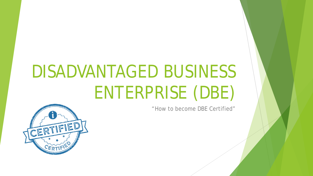# DISADVANTAGED BUSINESS ENTERPRISE (DBE)

"How to become DBE Certified"

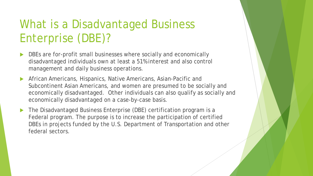# What is a Disadvantaged Business Enterprise (DBE)?

- DBEs are for-profit small businesses where socially and economically disadvantaged individuals own at least a 51% interest and also control management and daily business operations.
- African Americans, Hispanics, Native Americans, Asian-Pacific and Subcontinent Asian Americans, and women are presumed to be socially and economically disadvantaged. Other individuals can also qualify as socially and economically disadvantaged on a case-by-case basis.
- The Disadvantaged Business Enterprise (DBE) certification program is a Federal program. The purpose is to increase the participation of certified DBEs in projects funded by the U.S. Department of Transportation and other federal sectors.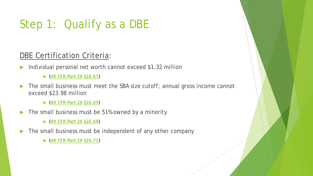# Step 1: Qualify as a DBE

#### DBE Certification Criteria:

Individual personal net worth cannot exceed \$1.32 million

**([49 CFR Part 26](http://www.ecfr.gov/cgi-bin/retrieveECFR?gp=&SID=c557e0c662d8af4ad52a31b56b5bb2f2&n=49y1.0.1.1.20&r=PART&ty=HTML) [§26.67](https://www.ecfr.gov/cgi-bin/retrieveECFR?gp=&SID=c557e0c662d8af4ad52a31b56b5bb2f2&n=49y1.0.1.1.20&r=PART&ty=HTML#se49.1.26_167))**

- The small business must meet the SBA size cutoff; annual gross income cannot exceed \$23.98 million
	- **([49 CFR Part 26](http://www.ecfr.gov/cgi-bin/retrieveECFR?gp=&SID=c557e0c662d8af4ad52a31b56b5bb2f2&n=49y1.0.1.1.20&r=PART&ty=HTML) [§26.65](https://www.ecfr.gov/cgi-bin/retrieveECFR?gp=&SID=c557e0c662d8af4ad52a31b56b5bb2f2&n=49y1.0.1.1.20&r=PART&ty=HTML#se49.1.26_167))**
- The small business must be 51% owned by a minority
	- **([49 CFR Part 26](http://www.ecfr.gov/cgi-bin/retrieveECFR?gp=&SID=c557e0c662d8af4ad52a31b56b5bb2f2&n=49y1.0.1.1.20&r=PART&ty=HTML) [§26.69](https://www.ecfr.gov/cgi-bin/retrieveECFR?gp=&SID=c557e0c662d8af4ad52a31b56b5bb2f2&n=49y1.0.1.1.20&r=PART&ty=HTML#se49.1.26_167))**
- The small business must be independent of any other company
	- **([49 CFR Part 26](http://www.ecfr.gov/cgi-bin/retrieveECFR?gp=&SID=c557e0c662d8af4ad52a31b56b5bb2f2&n=49y1.0.1.1.20&r=PART&ty=HTML) [§26.71](https://www.ecfr.gov/cgi-bin/retrieveECFR?gp=&SID=c557e0c662d8af4ad52a31b56b5bb2f2&n=49y1.0.1.1.20&r=PART&ty=HTML#se49.1.26_167))**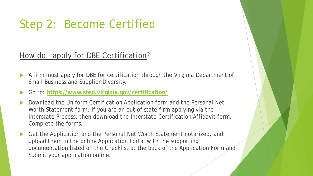### Step 2: Become Certified

#### How do I apply for DBE Certification?

- A firm must apply for DBE for certification through the Virginia Department of Small Business and Supplier Diversity.
- Go to: **<https://www.sbsd.virginia.gov/certification/>**
- Download the Uniform Certification Application form and the Personal Net Worth Statement form. If you are an out of state firm applying via the Interstate Process, then download the Interstate Certification Affidavit form. Complete the forms.
- Get the Application and the Personal Net Worth Statement notarized, and upload them in the online Application Portal with the supporting documentation listed on the Checklist at the back of the Application Form and Submit your application online.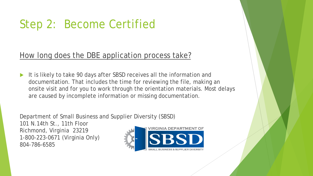## Step 2: Become Certified

#### How long does the DBE application process take?

 It is likely to take 90 days after SBSD receives all the information and documentation. That includes the time for reviewing the file, making an onsite visit and for you to work through the orientation materials. Most delays are caused by incomplete information or missing documentation.

Department of Small Business and Supplier Diversity (SBSD)

101 N.14th St., 11th Floor Richmond, Virginia 23219 1-800-223-0671 (Virginia Only) 804-786-6585

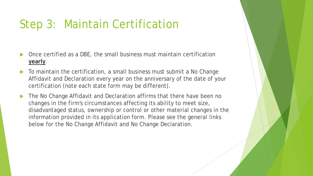### Step 3: Maintain Certification

- Once certified as a DBE, the small business must maintain certification **yearly**.
- To maintain the certification, a small business must submit a No Change Affidavit and Declaration every year on the anniversary of the date of your certification (note each state form may be different).
- ▶ The No Change Affidavit and Declaration affirms that there have been no changes in the firm's circumstances affecting its ability to meet size, disadvantaged status, ownership or control or other material changes in the information provided in its application form. Please see the general links below for the No Change Affidavit and No Change Declaration.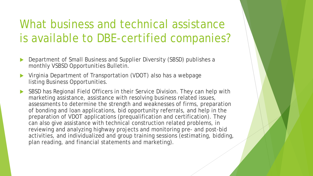### What business and technical assistance is available to DBE-certified companies?

- Department of Small Business and Supplier Diversity (SBSD) publishes a monthly VSBSD Opportunities Bulletin.
- Virginia Department of Transportation (VDOT) also has a webpage listing Business Opportunities.
- SBSD has Regional Field Officers in their Service Division. They can help with marketing assistance, assistance with resolving business related issues, assessments to determine the strength and weaknesses of firms, preparation of bonding and loan applications, bid opportunity referrals, and help in the preparation of VDOT applications (prequalification and certification). They can also give assistance with technical construction related problems, in reviewing and analyzing highway projects and monitoring pre- and post-bid activities, and individualized and group training sessions (estimating, bidding, plan reading, and financial statements and marketing).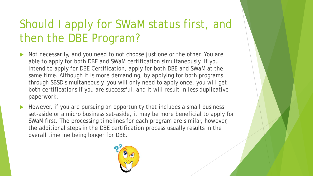# Should I apply for SWaM status first, and then the DBE Program?

- Not necessarily, and you need to not choose just one or the other. You are able to apply for both DBE and SWaM certification simultaneously. If you intend to apply for DBE Certification, apply for both DBE and SWaM at the same time. Although it is more demanding, by applying for both programs through SBSD simultaneously, you will only need to apply once, you will get both certifications if you are successful, and it will result in less duplicative paperwork.
- However, if you are pursuing an opportunity that includes a small business set-aside or a micro business set-aside, it may be more beneficial to apply for SWaM first. The processing timelines for each program are similar, however, the additional steps in the DBE certification process usually results in the overall timeline being longer for DBE.

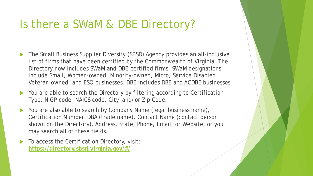### Is there a SWaM & DBE Directory?

- The Small Business Supplier Diversity (SBSD) Agency provides an all-inclusive list of firms that have been certified by the Commonwealth of Virginia. The Directory now includes SWaM and DBE-certified firms. SWaM designations include Small, Women-owned, Minority-owned, Micro, Service Disabled Veteran-owned, and ESO businesses. DBE includes DBE and ACDBE businesses.
- You are able to search the Directory by filtering according to Certification Type, NIGP code, NAICS code, City, and/or Zip Code.
- ▶ You are also able to search by Company Name (legal business name), Certification Number, DBA (trade name), Contact Name (contact person shown on the Directory), Address, State, Phone, Email, or Website, or you may search all of these fields.
- To access the Certification Directory, visit: **<https://directory.sbsd.virginia.gov/#/>**